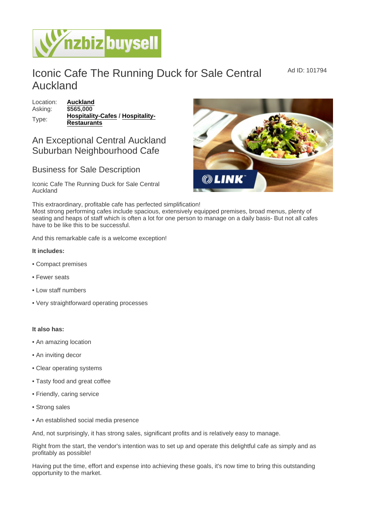## Iconic Cafe The Running Duck for Sale Central Auckland

Location: [Auckland](https://www.nzbizbuysell.co.nz/businesses-for-sale/location/Auckland) Asking: \$565,000 Type: [Hospitality-Cafes](https://www.nzbizbuysell.co.nz/businesses-for-sale/Cafes/New-Zealand) / [Hospitality-](https://www.nzbizbuysell.co.nz/businesses-for-sale/Restaurants/New-Zealand)[Restaurants](https://www.nzbizbuysell.co.nz/businesses-for-sale/Restaurants/New-Zealand)

## An Exceptional Central Auckland Suburban Neighbourhood Cafe

## Business for Sale Description

Iconic Cafe The Running Duck for Sale Central Auckland

This extraordinary, profitable cafe has perfected simplification!

Most strong performing cafes include spacious, extensively equipped premises, broad menus, plenty of seating and heaps of staff which is often a lot for one person to manage on a daily basis- But not all cafes have to be like this to be successful.

And this remarkable cafe is a welcome exception!

- It includes:
- Compact premises
- Fewer seats
- Low staff numbers
- Very straightforward operating processes

It also has:

- An amazing location
- An inviting decor
- Clear operating systems
- Tasty food and great coffee
- Friendly, caring service
- Strong sales
- An established social media presence

And, not surprisingly, it has strong sales, significant profits and is relatively easy to manage.

Right from the start, the vendor's intention was to set up and operate this delightful cafe as simply and as profitably as possible!

Having put the time, effort and expense into achieving these goals, it's now time to bring this outstanding opportunity to the market.